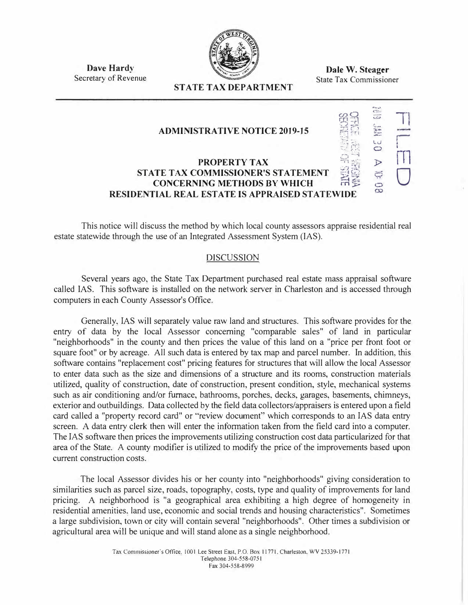

**Dale W. Steager**  State Tax Commissioner

•--... •

 $\overline{\phantom{a}}$ *:i:--* :..::.

> $\ddot{Q}$  $\overline{C}$

 $\infty$ 

 $\stackrel{2}{\equiv}$  1

**i**<br>0 U<br>...

 $\sum_{\mathbf{p}}$ 

 $E_{\text{H}}$ 

 $27\frac{1}{12}$ 

i

**Dave Hardy**  Secretary of Revenue

# **STATE TAX DEPARTMENT**

## **ADMINISTRATIVE NOTICE 2019-15**

### **PROPERTY TAX STATE TAX COMMISSIONER'S STATEMENT CONCERNING METHODS BY WHICH RESIDENTIAL REAL ESTATE IS APPRAISED STATEWIDE**

This notice will discuss the method by which local county assessors appraise residential real estate statewide through the use of an Integrated Assessment System (IAS).

### DISCUSSION

Several years ago, the State Tax Department purchased real estate mass appraisal software called IAS. This software is installed on the network server in Charleston and is accessed through computers in each County Assessor's Office.

Generally, IAS will separately value raw land and structures. This software provides for the entry of data by the local Assessor concerning "comparable sales" of land in particular "neighborhoods" in the county and then prices the value of this land on a "price per front foot or square foot" or by acreage. All such data is entered by tax map and parcel number. In addition, this software contains "replacement cost" pricing features for structures that will allow the local Assessor to enter data such as the size and dimensions of a structure and its rooms, construction materials utilized, quality of construction, date of construction, present condition, style, mechanical systems such as air conditioning and/or furnace, bathrooms, porches, decks, garages, basements, chimneys, exterior and outbuildings. Data collected by the field data collectors/appraisers is entered upon a field card called a "property record card" or "review document" which corresponds to an IAS data entry screen. A data entry clerk then will enter the information taken from the field card into a computer. The IAS software then prices the improvements utilizing construction cost data particularized for that area of the State. A county modifier is utilized to modify the price of the improvements based upon current construction costs.

The local Assessor divides his or her county into "neighborhoods" giving consideration to similarities such as parcel size, roads, topography, costs, type and quality of improvements for land pricing. A neighborhood is "a geographical area exhibiting a high degree of homogeneity in residential amenities. land use, economic and social trends and housing characteristics". Sometimes a large subdivision, town or city will contain several "neighborhoods". Other times a subdivision or agricultural area will be unique and will stand alone as a single neighborhood.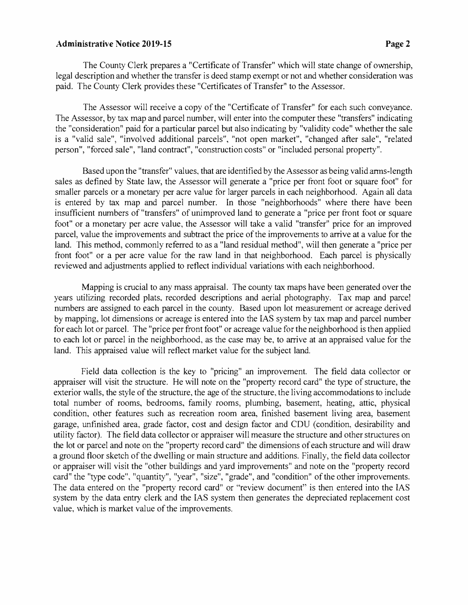#### Administrative Notice 2019-15 **Page 2**

The County Clerk prepares a "Certificate of Transfer" which will state change of ownership, legal description and whether the transfer is deed stamp exempt or not and whether consideration was paid. The County Clerk provides these "Certificates of Transfer" to the Assessor.

The Assessor will receive a copy of the "Certificate of Transfer" for each such conveyance. The Assessor, by tax map and parcel number, will enter into the computer these "transfers" indicating the "consideration" paid for a particular parcel but also indicating by "validity code" whether the sale is a "valid sale", "involved additional parcels", "not open market", "changed after sale", "related person", "forced sale", "land contract", "construction costs" or "included personal property".

Based upon the "transfer" values, that are identified by the Assessor as being valid arms-length sales as defined by State law, the Assessor will generate a "price per front foot or square foot" for smaller parcels or a monetary per acre value for larger parcels in each neighborhood. Again all data is entered by tax map and parcel number. In those "neighborhoods" where there have been insufficient numbers of "transfers" of unimproved land to generate a "price per front foot or square foot" or a monetary per acre value, the Assessor will take a valid "transfer" price for an improved parcel, value the improvements and subtract the price of the improvements to arrive at a value for the land. This method, commonly referred to as a "land residual method", will then generate a "price per front foot" or a per acre value for the raw land in that neighborhood. Each parcel is physically reviewed and adjustments applied to reflect individual variations with each neighborhood.

Mapping is crucial to any mass appraisal. The county tax maps have been generated over the years utilizing recorded plats, recorded descriptions and aerial photography. Tax map and parcel numbers are assigned to each parcel in the county. Based upon lot measurement or acreage derived by mapping, lot dimensions or acreage is entered into the IAS system by tax map and parcel number for each lot or parcel. The "price per front foot" or acreage value for the neighborhood is then applied to each lot or parcel in the neighborhood, as the case may be, to arrive at an appraised value for the land. This appraised value will reflect market value for the subject land.

Field data collection is the key to "pricing" an improvement. The field data collector or appraiser will visit the structure. He will note on the "property record card" the type of structure, the exterior walls, the style of the structure, the age of the structure, the living accommodations to include total number of rooms, bedrooms, family rooms, plumbing, basement, heating, attic, physical condition, other features such as recreation room area, finished basement living area, basement garage, unfinished area, grade factor, cost and design factor and CDU (condition, desirability and utility factor). The field data collector or appraiser will measure the structure and other structures on the lot or parcel and note on the "property record card" the dimensions of each structure and will draw a ground floor sketch of the dwelling or main structure and additions. Finally, the field data collector or appraiser will visit the "other buildings and yard improvements" and note on the "property record card" the "type code", "quantity", "year", "size", "grade", and "condition" of the other improvements. The data entered on the "property record card" or "review document" is then entered into the IAS system by the data entry clerk and the IAS system then generates the depreciated replacement cost value, which is market value of the improvements.